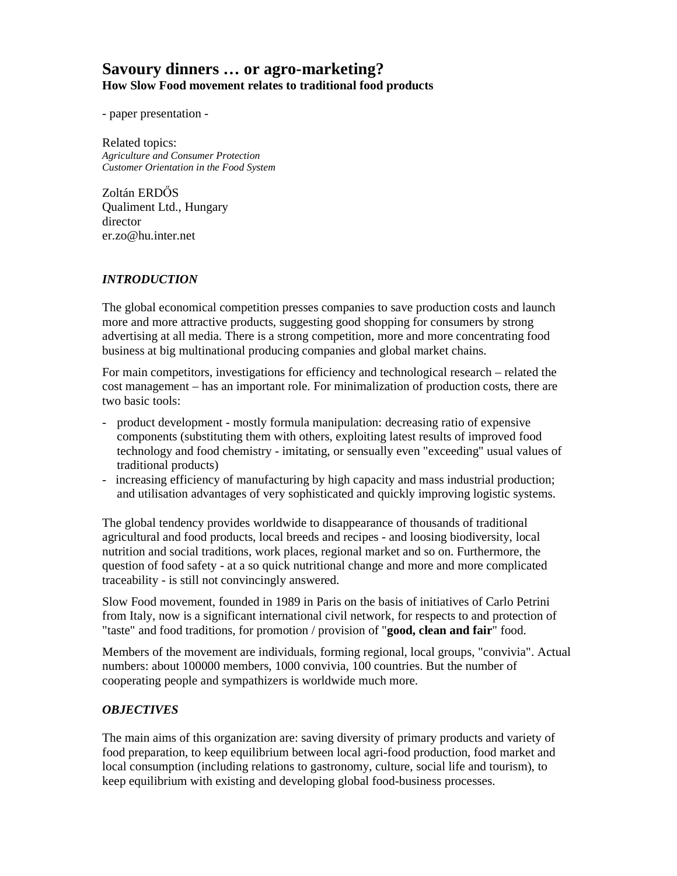# **Savoury dinners … or agro-marketing? How Slow Food movement relates to traditional food products**

- paper presentation -

Related topics: *Agriculture and Consumer Protection Customer Orientation in the Food System* 

Zoltán ERDŐS Qualiment Ltd., Hungary director er.zo@hu.inter.net

### *INTRODUCTION*

The global economical competition presses companies to save production costs and launch more and more attractive products, suggesting good shopping for consumers by strong advertising at all media. There is a strong competition, more and more concentrating food business at big multinational producing companies and global market chains.

For main competitors, investigations for efficiency and technological research – related the cost management – has an important role. For minimalization of production costs, there are two basic tools:

- product development mostly formula manipulation: decreasing ratio of expensive components (substituting them with others, exploiting latest results of improved food technology and food chemistry - imitating, or sensually even "exceeding" usual values of traditional products)
- increasing efficiency of manufacturing by high capacity and mass industrial production; and utilisation advantages of very sophisticated and quickly improving logistic systems.

The global tendency provides worldwide to disappearance of thousands of traditional agricultural and food products, local breeds and recipes - and loosing biodiversity, local nutrition and social traditions, work places, regional market and so on. Furthermore, the question of food safety - at a so quick nutritional change and more and more complicated traceability - is still not convincingly answered.

Slow Food movement, founded in 1989 in Paris on the basis of initiatives of Carlo Petrini from Italy, now is a significant international civil network, for respects to and protection of "taste" and food traditions, for promotion / provision of "**good, clean and fair**" food.

Members of the movement are individuals, forming regional, local groups, "convivia". Actual numbers: about 100000 members, 1000 convivia, 100 countries. But the number of cooperating people and sympathizers is worldwide much more.

### *OBJECTIVES*

The main aims of this organization are: saving diversity of primary products and variety of food preparation, to keep equilibrium between local agri-food production, food market and local consumption (including relations to gastronomy, culture, social life and tourism), to keep equilibrium with existing and developing global food-business processes.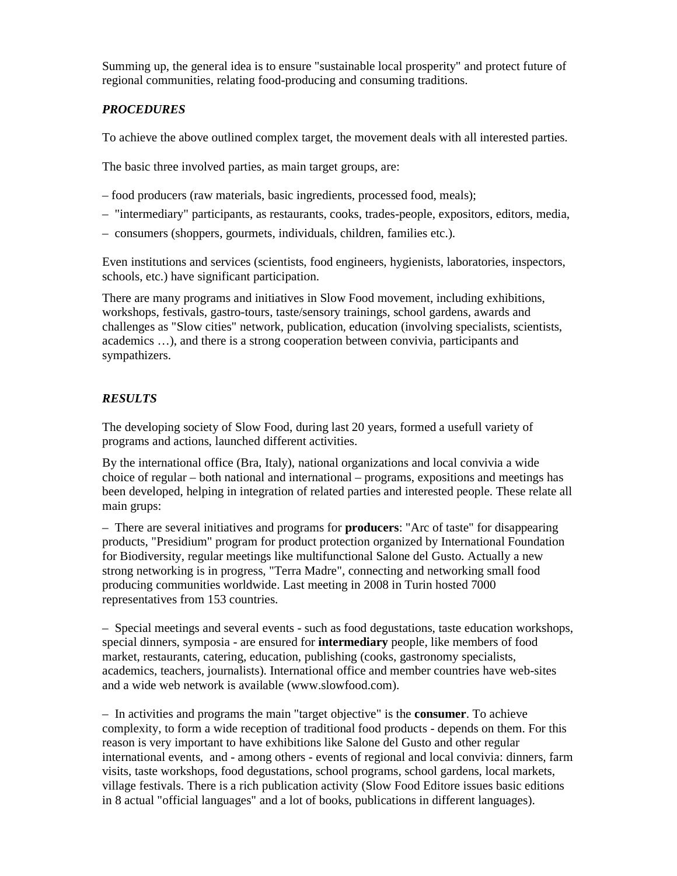Summing up, the general idea is to ensure "sustainable local prosperity" and protect future of regional communities, relating food-producing and consuming traditions.

## *PROCEDURES*

To achieve the above outlined complex target, the movement deals with all interested parties.

The basic three involved parties, as main target groups, are:

- food producers (raw materials, basic ingredients, processed food, meals);
- "intermediary" participants, as restaurants, cooks, trades-people, expositors, editors, media,
- consumers (shoppers, gourmets, individuals, children, families etc.).

Even institutions and services (scientists, food engineers, hygienists, laboratories, inspectors, schools, etc.) have significant participation.

There are many programs and initiatives in Slow Food movement, including exhibitions, workshops, festivals, gastro-tours, taste/sensory trainings, school gardens, awards and challenges as "Slow cities" network, publication, education (involving specialists, scientists, academics …), and there is a strong cooperation between convivia, participants and sympathizers.

### *RESULTS*

The developing society of Slow Food, during last 20 years, formed a usefull variety of programs and actions, launched different activities.

By the international office (Bra, Italy), national organizations and local convivia a wide choice of regular – both national and international – programs, expositions and meetings has been developed, helping in integration of related parties and interested people. These relate all main grups:

– There are several initiatives and programs for **producers**: "Arc of taste" for disappearing products, "Presidium" program for product protection organized by International Foundation for Biodiversity, regular meetings like multifunctional Salone del Gusto. Actually a new strong networking is in progress, "Terra Madre", connecting and networking small food producing communities worldwide. Last meeting in 2008 in Turin hosted 7000 representatives from 153 countries.

– Special meetings and several events - such as food degustations, taste education workshops, special dinners, symposia - are ensured for **intermediary** people, like members of food market, restaurants, catering, education, publishing (cooks, gastronomy specialists, academics, teachers, journalists). International office and member countries have web-sites and a wide web network is available (www.slowfood.com).

– In activities and programs the main "target objective" is the **consumer**. To achieve complexity, to form a wide reception of traditional food products - depends on them. For this reason is very important to have exhibitions like Salone del Gusto and other regular international events, and - among others - events of regional and local convivia: dinners, farm visits, taste workshops, food degustations, school programs, school gardens, local markets, village festivals. There is a rich publication activity (Slow Food Editore issues basic editions in 8 actual "official languages" and a lot of books, publications in different languages).